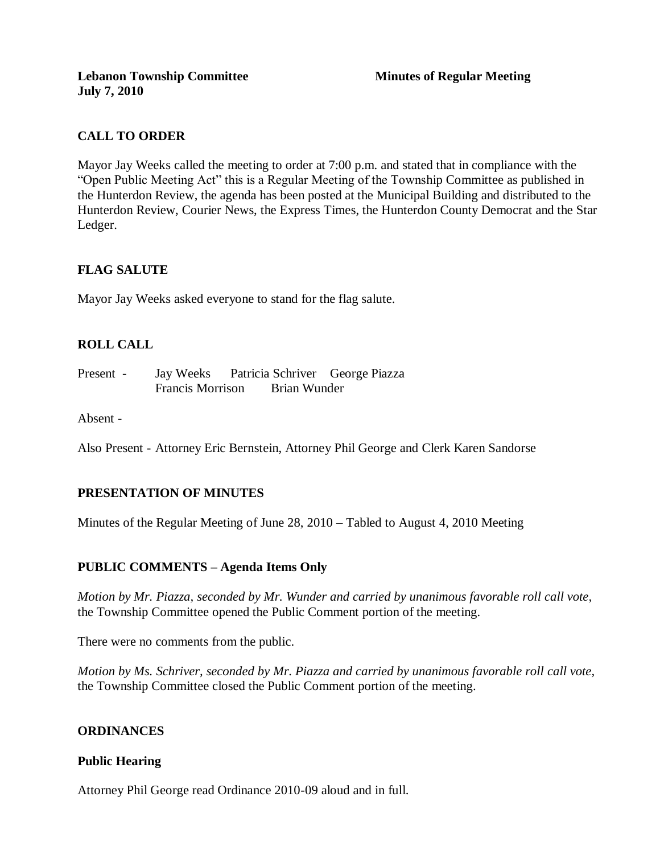## **CALL TO ORDER**

Mayor Jay Weeks called the meeting to order at 7:00 p.m. and stated that in compliance with the "Open Public Meeting Act" this is a Regular Meeting of the Township Committee as published in the Hunterdon Review, the agenda has been posted at the Municipal Building and distributed to the Hunterdon Review, Courier News, the Express Times, the Hunterdon County Democrat and the Star Ledger.

# **FLAG SALUTE**

Mayor Jay Weeks asked everyone to stand for the flag salute.

## **ROLL CALL**

Present - Jay Weeks Patricia Schriver George Piazza Francis Morrison Brian Wunder

Absent -

Also Present - Attorney Eric Bernstein, Attorney Phil George and Clerk Karen Sandorse

### **PRESENTATION OF MINUTES**

Minutes of the Regular Meeting of June 28, 2010 – Tabled to August 4, 2010 Meeting

### **PUBLIC COMMENTS – Agenda Items Only**

*Motion by Mr. Piazza, seconded by Mr. Wunder and carried by unanimous favorable roll call vote,* the Township Committee opened the Public Comment portion of the meeting.

There were no comments from the public.

*Motion by Ms. Schriver, seconded by Mr. Piazza and carried by unanimous favorable roll call vote,* the Township Committee closed the Public Comment portion of the meeting.

### **ORDINANCES**

#### **Public Hearing**

Attorney Phil George read Ordinance 2010-09 aloud and in full.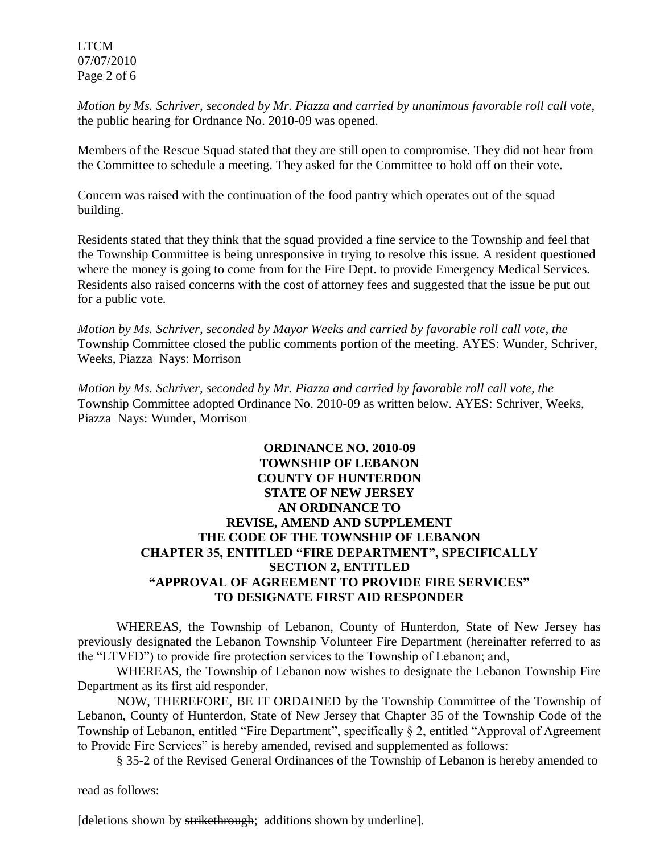LTCM 07/07/2010 Page 2 of 6

*Motion by Ms. Schriver, seconded by Mr. Piazza and carried by unanimous favorable roll call vote,* the public hearing for Ordnance No. 2010-09 was opened.

Members of the Rescue Squad stated that they are still open to compromise. They did not hear from the Committee to schedule a meeting. They asked for the Committee to hold off on their vote.

Concern was raised with the continuation of the food pantry which operates out of the squad building.

Residents stated that they think that the squad provided a fine service to the Township and feel that the Township Committee is being unresponsive in trying to resolve this issue. A resident questioned where the money is going to come from for the Fire Dept. to provide Emergency Medical Services. Residents also raised concerns with the cost of attorney fees and suggested that the issue be put out for a public vote.

*Motion by Ms. Schriver, seconded by Mayor Weeks and carried by favorable roll call vote, the* Township Committee closed the public comments portion of the meeting. AYES: Wunder, Schriver, Weeks, Piazza Nays: Morrison

*Motion by Ms. Schriver, seconded by Mr. Piazza and carried by favorable roll call vote, the* Township Committee adopted Ordinance No. 2010-09 as written below. AYES: Schriver, Weeks, Piazza Nays: Wunder, Morrison

## **ORDINANCE NO. 2010-09 TOWNSHIP OF LEBANON COUNTY OF HUNTERDON STATE OF NEW JERSEY AN ORDINANCE TO REVISE, AMEND AND SUPPLEMENT THE CODE OF THE TOWNSHIP OF LEBANON CHAPTER 35, ENTITLED "FIRE DEPARTMENT", SPECIFICALLY SECTION 2, ENTITLED "APPROVAL OF AGREEMENT TO PROVIDE FIRE SERVICES" TO DESIGNATE FIRST AID RESPONDER**

WHEREAS, the Township of Lebanon, County of Hunterdon, State of New Jersey has previously designated the Lebanon Township Volunteer Fire Department (hereinafter referred to as the "LTVFD") to provide fire protection services to the Township of Lebanon; and,

WHEREAS, the Township of Lebanon now wishes to designate the Lebanon Township Fire Department as its first aid responder.

NOW, THEREFORE, BE IT ORDAINED by the Township Committee of the Township of Lebanon, County of Hunterdon, State of New Jersey that Chapter 35 of the Township Code of the Township of Lebanon, entitled "Fire Department", specifically § 2, entitled "Approval of Agreement to Provide Fire Services" is hereby amended, revised and supplemented as follows:

§ 35-2 of the Revised General Ordinances of the Township of Lebanon is hereby amended to

read as follows:

[deletions shown by strikethrough; additions shown by <u>underline</u>].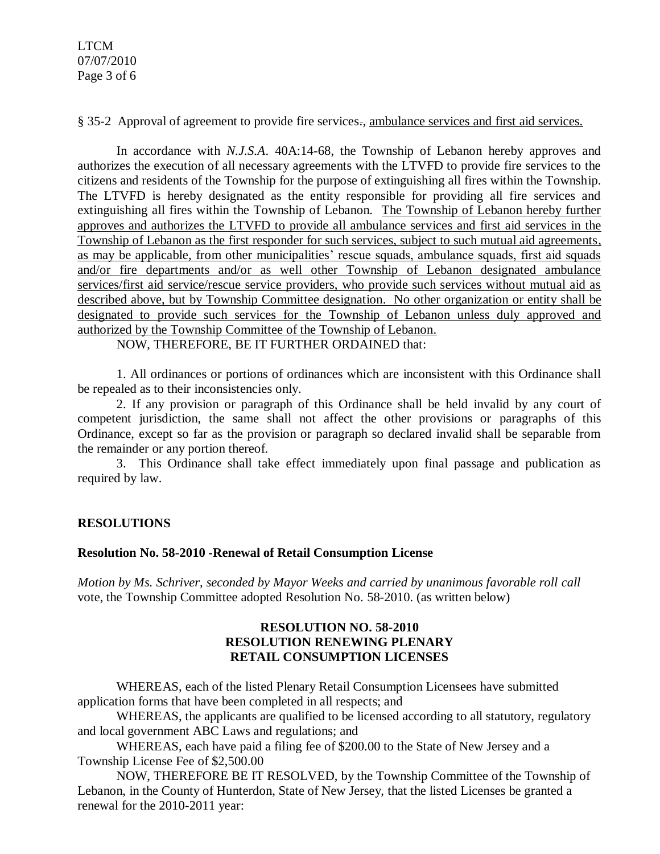§ 35-2 Approval of agreement to provide fire services., ambulance services and first aid services.

In accordance with *N.J.S.A*. 40A:14-68, the Township of Lebanon hereby approves and authorizes the execution of all necessary agreements with the LTVFD to provide fire services to the citizens and residents of the Township for the purpose of extinguishing all fires within the Township. The LTVFD is hereby designated as the entity responsible for providing all fire services and extinguishing all fires within the Township of Lebanon. The Township of Lebanon hereby further approves and authorizes the LTVFD to provide all ambulance services and first aid services in the Township of Lebanon as the first responder for such services, subject to such mutual aid agreements, as may be applicable, from other municipalities' rescue squads, ambulance squads, first aid squads and/or fire departments and/or as well other Township of Lebanon designated ambulance services/first aid service/rescue service providers, who provide such services without mutual aid as described above, but by Township Committee designation. No other organization or entity shall be designated to provide such services for the Township of Lebanon unless duly approved and authorized by the Township Committee of the Township of Lebanon.

NOW, THEREFORE, BE IT FURTHER ORDAINED that:

1. All ordinances or portions of ordinances which are inconsistent with this Ordinance shall be repealed as to their inconsistencies only.

2. If any provision or paragraph of this Ordinance shall be held invalid by any court of competent jurisdiction, the same shall not affect the other provisions or paragraphs of this Ordinance, except so far as the provision or paragraph so declared invalid shall be separable from the remainder or any portion thereof.

3. This Ordinance shall take effect immediately upon final passage and publication as required by law.

# **RESOLUTIONS**

### **Resolution No. 58-2010 -Renewal of Retail Consumption License**

*Motion by Ms. Schriver, seconded by Mayor Weeks and carried by unanimous favorable roll call*  vote, the Township Committee adopted Resolution No. 58-2010. (as written below)

## **RESOLUTION NO. 58-2010 RESOLUTION RENEWING PLENARY RETAIL CONSUMPTION LICENSES**

WHEREAS, each of the listed Plenary Retail Consumption Licensees have submitted application forms that have been completed in all respects; and

WHEREAS, the applicants are qualified to be licensed according to all statutory, regulatory and local government ABC Laws and regulations; and

WHEREAS, each have paid a filing fee of \$200.00 to the State of New Jersey and a Township License Fee of \$2,500.00

NOW, THEREFORE BE IT RESOLVED, by the Township Committee of the Township of Lebanon, in the County of Hunterdon, State of New Jersey, that the listed Licenses be granted a renewal for the 2010-2011 year: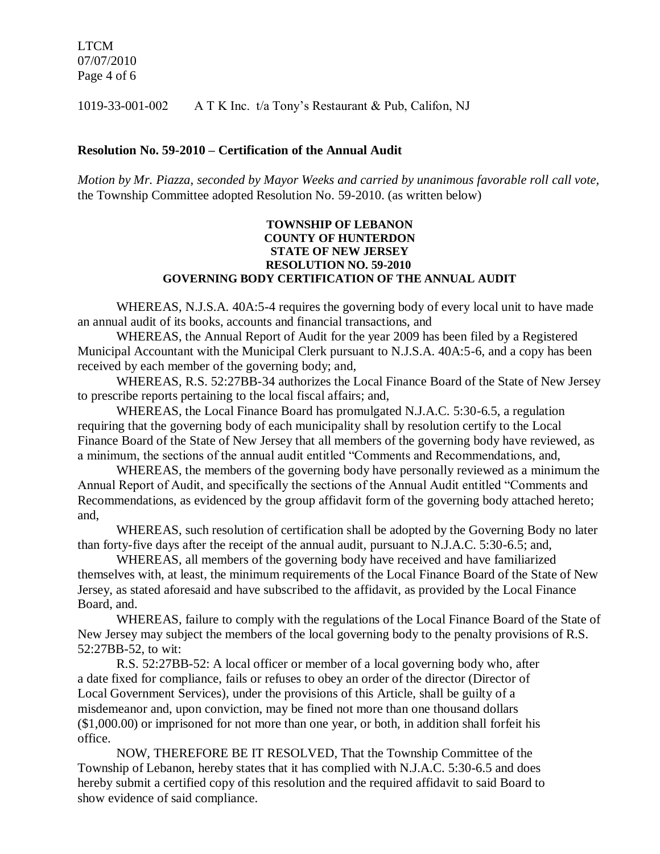LTCM 07/07/2010 Page 4 of 6

1019-33-001-002 A T K Inc. t/a Tony's Restaurant & Pub, Califon, NJ

#### **Resolution No. 59-2010 – Certification of the Annual Audit**

*Motion by Mr. Piazza, seconded by Mayor Weeks and carried by unanimous favorable roll call vote,* the Township Committee adopted Resolution No. 59-2010. (as written below)

#### **TOWNSHIP OF LEBANON COUNTY OF HUNTERDON STATE OF NEW JERSEY RESOLUTION NO. 59-2010 GOVERNING BODY CERTIFICATION OF THE ANNUAL AUDIT**

WHEREAS, N.J.S.A. 40A:5-4 requires the governing body of every local unit to have made an annual audit of its books, accounts and financial transactions, and

WHEREAS, the Annual Report of Audit for the year 2009 has been filed by a Registered Municipal Accountant with the Municipal Clerk pursuant to N.J.S.A. 40A:5-6, and a copy has been received by each member of the governing body; and,

WHEREAS, R.S. 52:27BB-34 authorizes the Local Finance Board of the State of New Jersey to prescribe reports pertaining to the local fiscal affairs; and,

WHEREAS, the Local Finance Board has promulgated N.J.A.C. 5:30-6.5, a regulation requiring that the governing body of each municipality shall by resolution certify to the Local Finance Board of the State of New Jersey that all members of the governing body have reviewed, as a minimum, the sections of the annual audit entitled "Comments and Recommendations, and,

WHEREAS, the members of the governing body have personally reviewed as a minimum the Annual Report of Audit, and specifically the sections of the Annual Audit entitled "Comments and Recommendations, as evidenced by the group affidavit form of the governing body attached hereto; and,

WHEREAS, such resolution of certification shall be adopted by the Governing Body no later than forty-five days after the receipt of the annual audit, pursuant to N.J.A.C. 5:30-6.5; and,

WHEREAS, all members of the governing body have received and have familiarized themselves with, at least, the minimum requirements of the Local Finance Board of the State of New Jersey, as stated aforesaid and have subscribed to the affidavit, as provided by the Local Finance Board, and.

WHEREAS, failure to comply with the regulations of the Local Finance Board of the State of New Jersey may subject the members of the local governing body to the penalty provisions of R.S. 52:27BB-52, to wit:

R.S. 52:27BB-52: A local officer or member of a local governing body who, after a date fixed for compliance, fails or refuses to obey an order of the director (Director of Local Government Services), under the provisions of this Article, shall be guilty of a misdemeanor and, upon conviction, may be fined not more than one thousand dollars (\$1,000.00) or imprisoned for not more than one year, or both, in addition shall forfeit his office.

NOW, THEREFORE BE IT RESOLVED, That the Township Committee of the Township of Lebanon, hereby states that it has complied with N.J.A.C. 5:30-6.5 and does hereby submit a certified copy of this resolution and the required affidavit to said Board to show evidence of said compliance.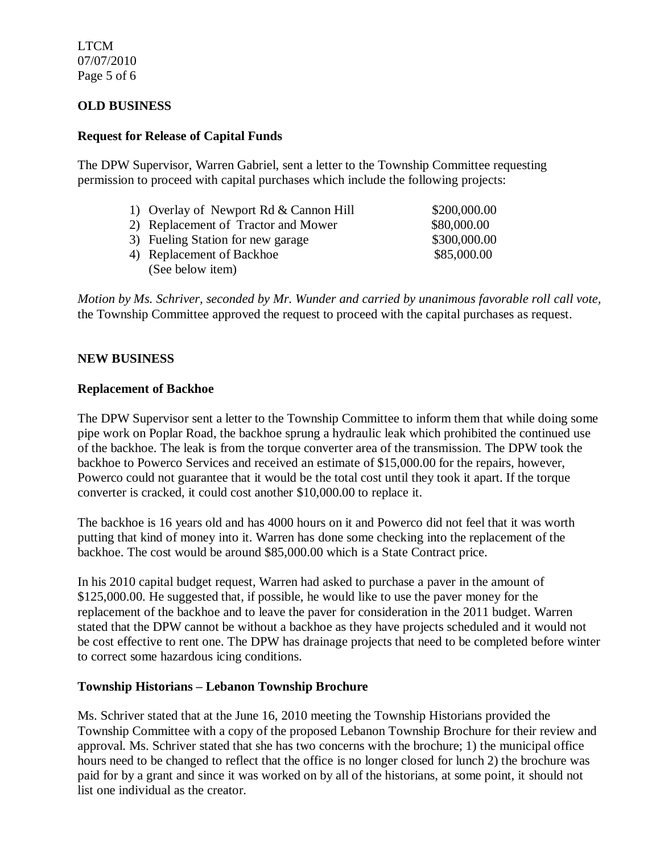LTCM 07/07/2010 Page 5 of 6

## **OLD BUSINESS**

### **Request for Release of Capital Funds**

The DPW Supervisor, Warren Gabriel, sent a letter to the Township Committee requesting permission to proceed with capital purchases which include the following projects:

- 1) Overlay of Newport Rd & Cannon Hill \$200,000.00
- 2) Replacement of Tractor and Mower \$80,000.00
- 3) Fueling Station for new garage \$300,000.00
- 4) Replacement of Backhoe \$85,000.00 (See below item)

*Motion by Ms. Schriver, seconded by Mr. Wunder and carried by unanimous favorable roll call vote,* the Township Committee approved the request to proceed with the capital purchases as request.

### **NEW BUSINESS**

#### **Replacement of Backhoe**

The DPW Supervisor sent a letter to the Township Committee to inform them that while doing some pipe work on Poplar Road, the backhoe sprung a hydraulic leak which prohibited the continued use of the backhoe. The leak is from the torque converter area of the transmission. The DPW took the backhoe to Powerco Services and received an estimate of \$15,000.00 for the repairs, however, Powerco could not guarantee that it would be the total cost until they took it apart. If the torque converter is cracked, it could cost another \$10,000.00 to replace it.

The backhoe is 16 years old and has 4000 hours on it and Powerco did not feel that it was worth putting that kind of money into it. Warren has done some checking into the replacement of the backhoe. The cost would be around \$85,000.00 which is a State Contract price.

In his 2010 capital budget request, Warren had asked to purchase a paver in the amount of \$125,000.00. He suggested that, if possible, he would like to use the paver money for the replacement of the backhoe and to leave the paver for consideration in the 2011 budget. Warren stated that the DPW cannot be without a backhoe as they have projects scheduled and it would not be cost effective to rent one. The DPW has drainage projects that need to be completed before winter to correct some hazardous icing conditions.

### **Township Historians – Lebanon Township Brochure**

Ms. Schriver stated that at the June 16, 2010 meeting the Township Historians provided the Township Committee with a copy of the proposed Lebanon Township Brochure for their review and approval. Ms. Schriver stated that she has two concerns with the brochure; 1) the municipal office hours need to be changed to reflect that the office is no longer closed for lunch 2) the brochure was paid for by a grant and since it was worked on by all of the historians, at some point, it should not list one individual as the creator.